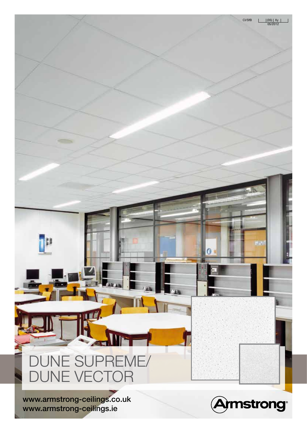## Dune supreme/ DUNE VECTOR

www.armstrong-ceilings.co.uk www.armstrong-ceilings.ie

p



 $0:$ 

CI/SfB  $\begin{array}{|c|c|c|c|c|}\n\hline\n & (35) & Xy \\
\hline\n & 05/2012 & \\\hline\n\end{array}$ 

<u>s de la provincia de la p</u>

l